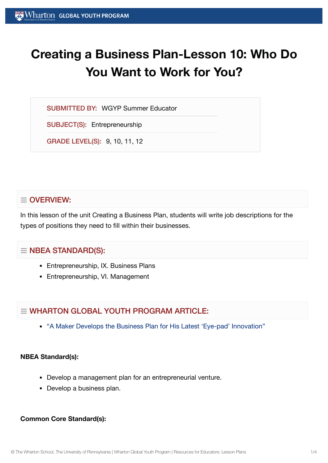# **Creating a Business Plan-Lesson 10: Who Do You Want to Work for You?**

SUBMITTED BY: WGYP Summer Educator

SUBJECT(S): Entrepreneurship

GRADE LEVEL(S): 9, 10, 11, 12

## $\equiv$  OVERVIEW:

In this lesson of the unit Creating a Business Plan, students will write job descriptions for the types of positions they need to fill within their businesses.

## $\equiv$  NBEA STANDARD(S):

- Entrepreneurship, IX. Business Plans
- Entrepreneurship, VI. Management

# $=$  WHARTON GLOBAL YOUTH PROGRAM ARTICLE:

"A Maker Develops the [Business Plan](https://globalyouth.wharton.upenn.edu/articles/young-maker-develops-business-plan-latest-eye-pad-innovation/) for His Latest 'Eye-pad' Innovation"

#### **NBEA Standard(s):**

- Develop a management plan for an entrepreneurial venture.
- Develop a business plan.

## **Common Core Standard(s):**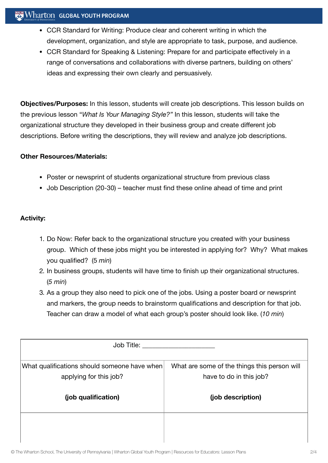## **Wharton GLOBAL YOUTH PROGRAM**

- CCR Standard for Writing: Produce clear and coherent writing in which the development, organization, and style are appropriate to task, purpose, and audience.
- CCR Standard for Speaking & Listening: Prepare for and participate effectively in a range of conversations and collaborations with diverse partners, building on others' ideas and expressing their own clearly and persuasively.

**Objectives/Purposes:** In this lesson, students will create job descriptions. This lesson builds on the previous lesson "*What Is Your Managing Style?"* In this lesson, students will take the organizational structure they developed in their business group and create different job descriptions. Before writing the descriptions, they will review and analyze job descriptions.

#### **Other Resources/Materials:**

- Poster or newsprint of students organizational structure from previous class
- Job Description (20-30) teacher must find these online ahead of time and print

### **Activity:**

- 1. Do Now: Refer back to the organizational structure you created with your business group. Which of these jobs might you be interested in applying for? Why? What makes you qualified? (5 *min*)
- 2. In business groups, students will have time to finish up their organizational structures. (*5 min*)
- 3. As a group they also need to pick one of the jobs. Using a poster board or newsprint and markers, the group needs to brainstorm qualifications and description for that job. Teacher can draw a model of what each group's poster should look like. (*10 min*)

| Job Title:                                                             |                                                                         |
|------------------------------------------------------------------------|-------------------------------------------------------------------------|
| What qualifications should someone have when<br>applying for this job? | What are some of the things this person will<br>have to do in this job? |
| (job qualification)                                                    | (job description)                                                       |
|                                                                        |                                                                         |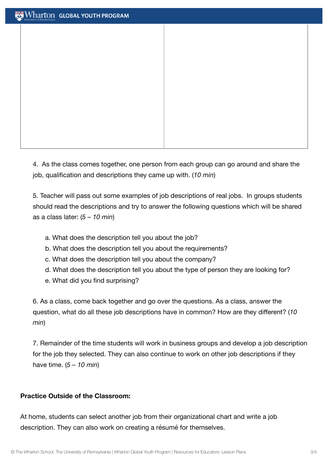4. As the class comes together, one person from each group can go around and share the job, qualification and descriptions they came up with. (*10 min*)

5. Teacher will pass out some examples of job descriptions of real jobs. In groups students should read the descriptions and try to answer the following questions which will be shared as a class later: (*5 – 10 min*)

- a. What does the description tell you about the job?
- b. What does the description tell you about the requirements?
- c. What does the description tell you about the company?
- d. What does the description tell you about the type of person they are looking for?
- e. What did you find surprising?

6. As a class, come back together and go over the questions. As a class, answer the question, what do all these job descriptions have in common? How are they different? (*10 min*)

7. Remainder of the time students will work in business groups and develop a job description for the job they selected. They can also continue to work on other job descriptions if they have time. (*5 – 10 min*)

#### **Practice Outside of the Classroom:**

At home, students can select another job from their organizational chart and write a job description. They can also work on creating a résumé for themselves.